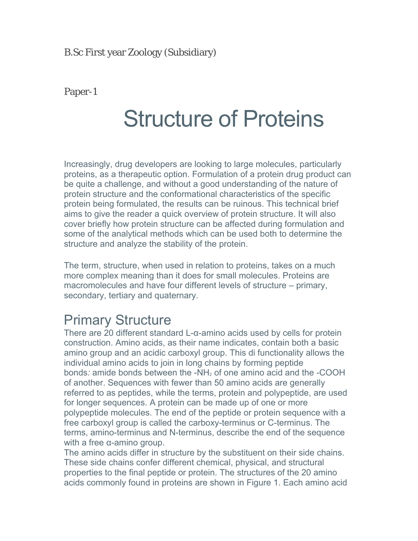Paper-1

# Structure of Proteins

Increasingly, drug developers are looking to large molecules, particularly proteins, as a therapeutic option. Formulation of a protein drug product can be quite a challenge, and without a good understanding of the nature of protein structure and the conformational characteristics of the specific protein being formulated, the results can be ruinous. This technical brief aims to give the reader a quick overview of protein structure. It will also cover briefly how protein structure can be affected during formulation and some of the analytical methods which can be used both to determine the structure and analyze the stability of the protein.

The term, structure, when used in relation to proteins, takes on a much more complex meaning than it does for small molecules. Proteins are macromolecules and have four different levels of structure – primary, secondary, tertiary and quaternary.

# Primary Structure

There are 20 different standard L-α-amino acids used by cells for protein construction. Amino acids, as their name indicates, contain both a basic amino group and an acidic carboxyl group. This di functionality allows the individual amino acids to join in long chains by forming peptide bonds; amide bonds between the -NH<sub>2</sub> of one amino acid and the -COOH of another. Sequences with fewer than 50 amino acids are generally referred to as peptides, while the terms, protein and polypeptide, are used for longer sequences. A protein can be made up of one or more polypeptide molecules. The end of the peptide or protein sequence with a free carboxyl group is called the carboxy-terminus or C-terminus. The terms, amino-terminus and N-terminus, describe the end of the sequence with a free α-amino group.

The amino acids differ in structure by the substituent on their side chains. These side chains confer different chemical, physical, and structural properties to the final peptide or protein. The structures of the 20 amino acids commonly found in proteins are shown in Figure 1. Each amino acid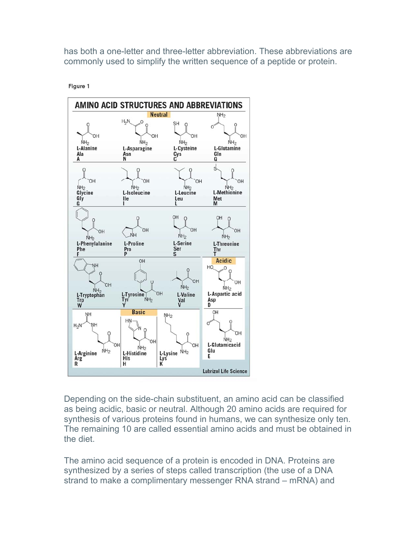has both a one-letter and three-letter abbreviation. These abbreviations are commonly used to simplify the written sequence of a peptide or protein.



Figure 1

Depending on the side-chain substituent, an amino acid can be classified as being acidic, basic or neutral. Although 20 amino acids are required for synthesis of various proteins found in humans, we can synthesize only ten. The remaining 10 are called essential amino acids and must be obtained in the diet.

The amino acid sequence of a protein is encoded in DNA. Proteins are synthesized by a series of steps called transcription (the use of a DNA strand to make a complimentary messenger RNA strand – mRNA) and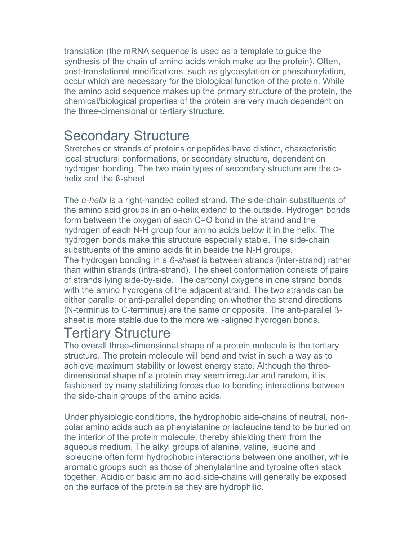translation (the mRNA sequence is used as a template to guide the synthesis of the chain of amino acids which make up the protein). Often, post-translational modifications, such as glycosylation or phosphorylation, occur which are necessary for the biological function of the protein. While the amino acid sequence makes up the primary structure of the protein, the chemical/biological properties of the protein are very much dependent on the three-dimensional or tertiary structure.

## Secondary Structure

Stretches or strands of proteins or peptides have distinct, characteristic local structural conformations, or secondary structure, dependent on hydrogen bonding. The two main types of secondary structure are the αhelix and the ß-sheet.

The *α-helix* is a right-handed coiled strand. The side-chain substituents of the amino acid groups in an α-helix extend to the outside. Hydrogen bonds form between the oxygen of each C=O bond in the strand and the hydrogen of each N-H group four amino acids below it in the helix. The hydrogen bonds make this structure especially stable. The side-chain substituents of the amino acids fit in beside the N-H groups.

The hydrogen bonding in a *ß-sheet* is between strands (inter-strand) rather than within strands (intra-strand). The sheet conformation consists of pairs of strands lying side-by-side. The carbonyl oxygens in one strand bonds with the amino hydrogens of the adjacent strand. The two strands can be either parallel or anti-parallel depending on whether the strand directions (N-terminus to C-terminus) are the same or opposite. The anti-parallel ßsheet is more stable due to the more well-aligned hydrogen bonds.

#### Tertiary Structure

The overall three-dimensional shape of a protein molecule is the tertiary structure. The protein molecule will bend and twist in such a way as to achieve maximum stability or lowest energy state. Although the threedimensional shape of a protein may seem irregular and random, it is fashioned by many stabilizing forces due to bonding interactions between the side-chain groups of the amino acids.

Under physiologic conditions, the hydrophobic side-chains of neutral, nonpolar amino acids such as phenylalanine or isoleucine tend to be buried on the interior of the protein molecule, thereby shielding them from the aqueous medium. The alkyl groups of alanine, valine, leucine and isoleucine often form hydrophobic interactions between one another, while aromatic groups such as those of phenylalanine and tyrosine often stack together. Acidic or basic amino acid side-chains will generally be exposed on the surface of the protein as they are hydrophilic.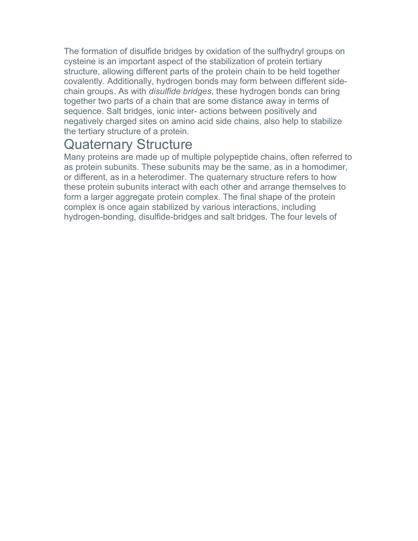The formation of disulfide bridges by oxidation of the sulfhydryl groups on cysteine is an important aspect of the stabilization of protein tertiary structure, allowing different parts of the protein chain to be held together covalently. Additionally, hydrogen bonds may form between different sidechain groups. As with *disulfide bridges*, these hydrogen bonds can bring together two parts of a chain that are some distance away in terms of sequence. Salt bridges, ionic inter- actions between positively and negatively charged sites on amino acid side chains, also help to stabilize the tertiary structure of a protein.

### Quaternary Structure

Many proteins are made up of multiple polypeptide chains, often referred to as protein subunits. These subunits may be the same, as in a homodimer, or different, as in a heterodimer. The quaternary structure refers to how these protein subunits interact with each other and arrange themselves to form a larger aggregate protein complex. The final shape of the protein complex is once again stabilized by various interactions, including hydrogen-bonding, disulfide-bridges and salt bridges. The four levels of